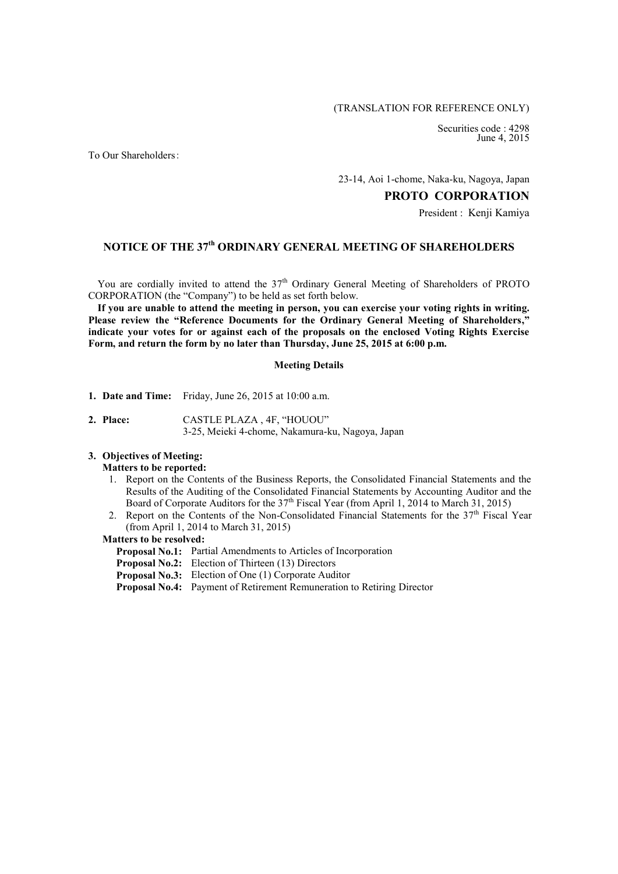### (TRANSLATION FOR REFERENCE ONLY)

Securities code : 4298 June 4, 2015

To Our Shareholders:

23-14, Aoi 1-chome, Naka-ku, Nagoya, Japan

**PROTO CORPORATION**

President : Kenii Kamiya

# **NOTICE OF THE 37 th ORDINARY GENERAL MEETING OF SHAREHOLDERS**

You are cordially invited to attend the 37<sup>th</sup> Ordinary General Meeting of Shareholders of PROTO CORPORATION (the "Company") to be held as set forth below.

**If you are unable to attend the meeting in person, you can exercise your voting rights in writing. Please review the "Reference Documents for the Ordinary General Meeting of Shareholders," indicate your votes for or against each of the proposals on the enclosed Voting Rights Exercise Form, and return the form by no later than Thursday, June 25, 2015 at 6:00 p.m.**

#### **Meeting Details**

- **1. Date and Time:** Friday, June 26, 2015 at 10:00 a.m.
- **2. Place:** CASTLE PLAZA , 4F, "HOUOU" 3-25, Meieki 4-chome, Nakamura-ku, Nagoya, Japan

### **3. Objectives of Meeting:**

### **Matters to be reported:**

- 1. Report on the Contents of the Business Reports, the Consolidated Financial Statements and the Results of the Auditing of the Consolidated Financial Statements by Accounting Auditor and the Board of Corporate Auditors for the 37<sup>th</sup> Fiscal Year (from April 1, 2014 to March 31, 2015)
- 2. Report on the Contents of the Non-Consolidated Financial Statements for the 37<sup>th</sup> Fiscal Year (from April 1, 2014 to March 31, 2015)

#### **Matters to be resolved:**

- **Proposal No.1:** Partial Amendments to Articles of Incorporation
- **Proposal No.2:** Election of Thirteen (13) Directors
- **Proposal No.3:** Election of One (1) Corporate Auditor
- **Proposal No.4:** Payment of Retirement Remuneration to Retiring Director